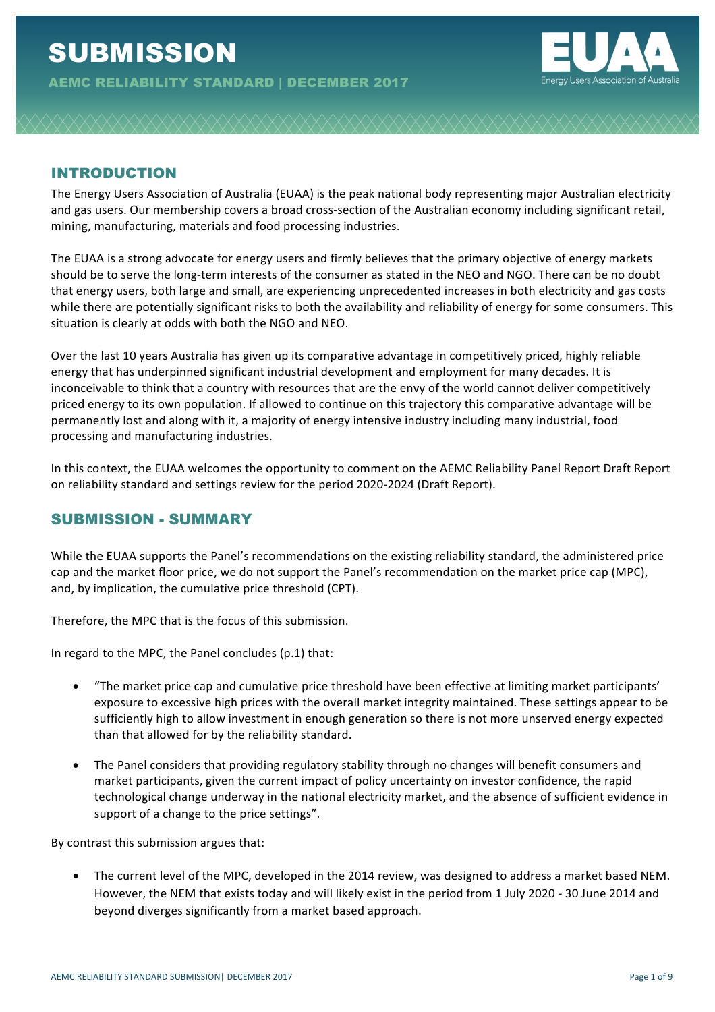

# INTRODUCTION

The Energy Users Association of Australia (EUAA) is the peak national body representing major Australian electricity and gas users. Our membership covers a broad cross-section of the Australian economy including significant retail, mining, manufacturing, materials and food processing industries.

The EUAA is a strong advocate for energy users and firmly believes that the primary objective of energy markets should be to serve the long-term interests of the consumer as stated in the NEO and NGO. There can be no doubt that energy users, both large and small, are experiencing unprecedented increases in both electricity and gas costs while there are potentially significant risks to both the availability and reliability of energy for some consumers. This situation is clearly at odds with both the NGO and NEO.

Over the last 10 years Australia has given up its comparative advantage in competitively priced, highly reliable energy that has underpinned significant industrial development and employment for many decades. It is inconceivable to think that a country with resources that are the envy of the world cannot deliver competitively priced energy to its own population. If allowed to continue on this trajectory this comparative advantage will be permanently lost and along with it, a majority of energy intensive industry including many industrial, food processing and manufacturing industries.

In this context, the EUAA welcomes the opportunity to comment on the AEMC Reliability Panel Report Draft Report on reliability standard and settings review for the period 2020-2024 (Draft Report).

## SUBMISSION - SUMMARY

While the EUAA supports the Panel's recommendations on the existing reliability standard, the administered price cap and the market floor price, we do not support the Panel's recommendation on the market price cap (MPC), and, by implication, the cumulative price threshold (CPT).

Therefore, the MPC that is the focus of this submission.

In regard to the MPC, the Panel concludes  $(p.1)$  that:

- "The market price cap and cumulative price threshold have been effective at limiting market participants' exposure to excessive high prices with the overall market integrity maintained. These settings appear to be sufficiently high to allow investment in enough generation so there is not more unserved energy expected than that allowed for by the reliability standard.
- The Panel considers that providing regulatory stability through no changes will benefit consumers and market participants, given the current impact of policy uncertainty on investor confidence, the rapid technological change underway in the national electricity market, and the absence of sufficient evidence in support of a change to the price settings".

By contrast this submission argues that:

The current level of the MPC, developed in the 2014 review, was designed to address a market based NEM. However, the NEM that exists today and will likely exist in the period from 1 July 2020 - 30 June 2014 and beyond diverges significantly from a market based approach.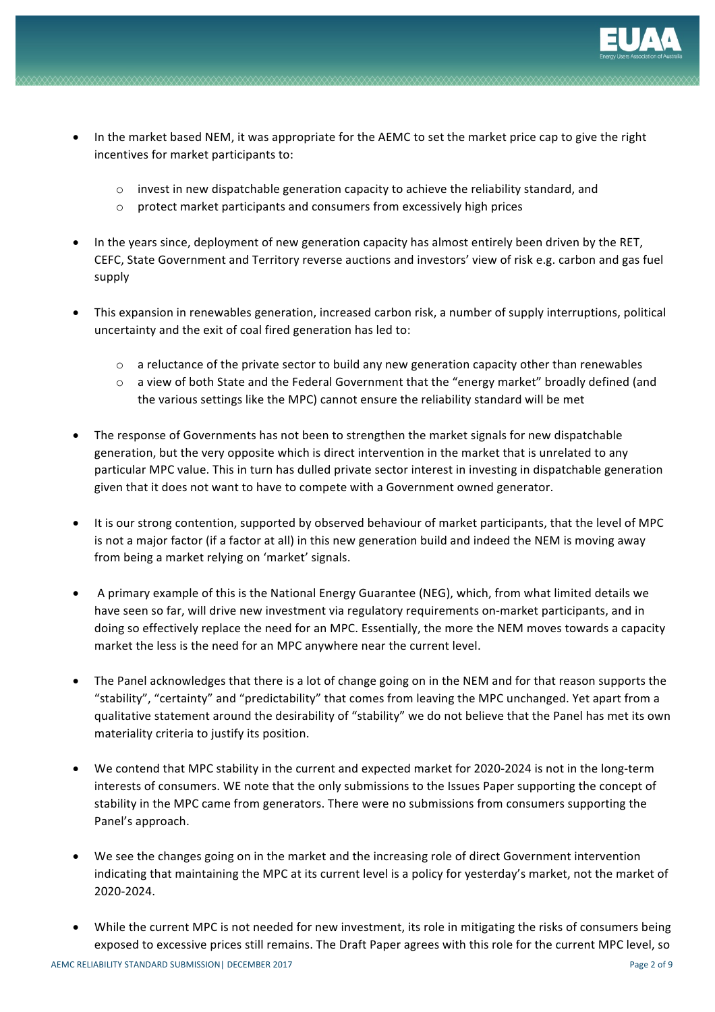

- In the market based NEM, it was appropriate for the AEMC to set the market price cap to give the right incentives for market participants to:
	- $\circ$  invest in new dispatchable generation capacity to achieve the reliability standard, and
	- $\circ$  protect market participants and consumers from excessively high prices
- In the years since, deployment of new generation capacity has almost entirely been driven by the RET, CEFC, State Government and Territory reverse auctions and investors' view of risk e.g. carbon and gas fuel supply
- This expansion in renewables generation, increased carbon risk, a number of supply interruptions, political uncertainty and the exit of coal fired generation has led to:
	- $\circ$  a reluctance of the private sector to build any new generation capacity other than renewables
	- $\circ$  a view of both State and the Federal Government that the "energy market" broadly defined (and the various settings like the MPC) cannot ensure the reliability standard will be met
- The response of Governments has not been to strengthen the market signals for new dispatchable generation, but the very opposite which is direct intervention in the market that is unrelated to any particular MPC value. This in turn has dulled private sector interest in investing in dispatchable generation given that it does not want to have to compete with a Government owned generator.
- It is our strong contention, supported by observed behaviour of market participants, that the level of MPC is not a major factor (if a factor at all) in this new generation build and indeed the NEM is moving away from being a market relying on 'market' signals.
- A primary example of this is the National Energy Guarantee (NEG), which, from what limited details we have seen so far, will drive new investment via regulatory requirements on-market participants, and in doing so effectively replace the need for an MPC. Essentially, the more the NEM moves towards a capacity market the less is the need for an MPC anywhere near the current level.
- The Panel acknowledges that there is a lot of change going on in the NEM and for that reason supports the "stability", "certainty" and "predictability" that comes from leaving the MPC unchanged. Yet apart from a qualitative statement around the desirability of "stability" we do not believe that the Panel has met its own materiality criteria to justify its position.
- We contend that MPC stability in the current and expected market for 2020-2024 is not in the long-term interests of consumers. WE note that the only submissions to the Issues Paper supporting the concept of stability in the MPC came from generators. There were no submissions from consumers supporting the Panel's approach.
- We see the changes going on in the market and the increasing role of direct Government intervention indicating that maintaining the MPC at its current level is a policy for yesterday's market, not the market of 2020-2024.
- While the current MPC is not needed for new investment, its role in mitigating the risks of consumers being exposed to excessive prices still remains. The Draft Paper agrees with this role for the current MPC level, so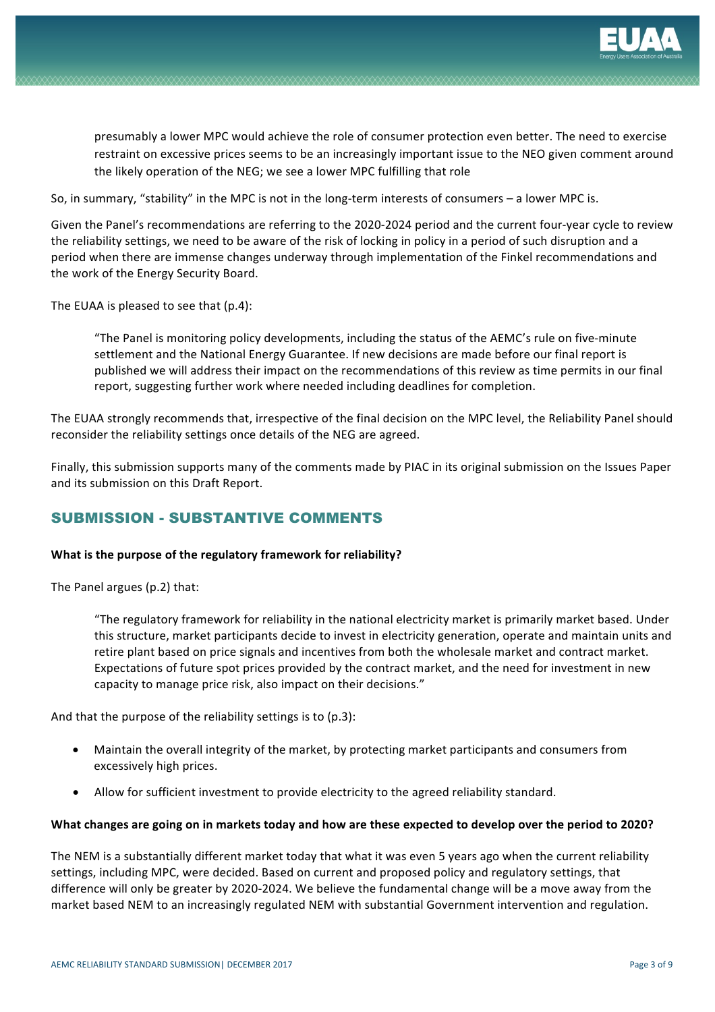

presumably a lower MPC would achieve the role of consumer protection even better. The need to exercise restraint on excessive prices seems to be an increasingly important issue to the NEO given comment around the likely operation of the NEG; we see a lower MPC fulfilling that role

So, in summary, "stability" in the MPC is not in the long-term interests of consumers – a lower MPC is.

Given the Panel's recommendations are referring to the 2020-2024 period and the current four-year cycle to review the reliability settings, we need to be aware of the risk of locking in policy in a period of such disruption and a period when there are immense changes underway through implementation of the Finkel recommendations and the work of the Energy Security Board.

The EUAA is pleased to see that  $(p.4)$ :

"The Panel is monitoring policy developments, including the status of the AEMC's rule on five-minute settlement and the National Energy Guarantee. If new decisions are made before our final report is published we will address their impact on the recommendations of this review as time permits in our final report, suggesting further work where needed including deadlines for completion.

The EUAA strongly recommends that, irrespective of the final decision on the MPC level, the Reliability Panel should reconsider the reliability settings once details of the NEG are agreed.

Finally, this submission supports many of the comments made by PIAC in its original submission on the Issues Paper and its submission on this Draft Report.

## SUBMISSION - SUBSTANTIVE COMMENTS

### What is the purpose of the regulatory framework for reliability?

The Panel argues (p.2) that:

"The regulatory framework for reliability in the national electricity market is primarily market based. Under this structure, market participants decide to invest in electricity generation, operate and maintain units and retire plant based on price signals and incentives from both the wholesale market and contract market. Expectations of future spot prices provided by the contract market, and the need for investment in new capacity to manage price risk, also impact on their decisions."

And that the purpose of the reliability settings is to  $(p.3)$ :

- Maintain the overall integrity of the market, by protecting market participants and consumers from excessively high prices.
- Allow for sufficient investment to provide electricity to the agreed reliability standard.

### What changes are going on in markets today and how are these expected to develop over the period to 2020?

The NEM is a substantially different market today that what it was even 5 years ago when the current reliability settings, including MPC, were decided. Based on current and proposed policy and regulatory settings, that difference will only be greater by 2020-2024. We believe the fundamental change will be a move away from the market based NEM to an increasingly regulated NEM with substantial Government intervention and regulation.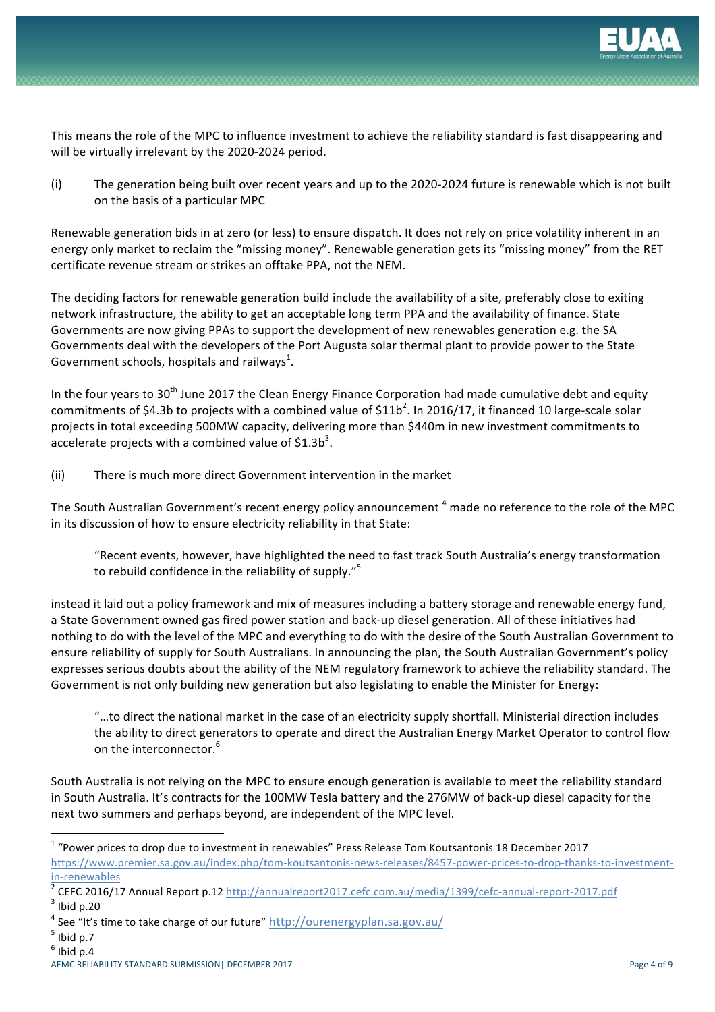

This means the role of the MPC to influence investment to achieve the reliability standard is fast disappearing and will be virtually irrelevant by the 2020-2024 period.

(i) The generation being built over recent years and up to the 2020-2024 future is renewable which is not built on the basis of a particular MPC

Renewable generation bids in at zero (or less) to ensure dispatch. It does not rely on price volatility inherent in an energy only market to reclaim the "missing money". Renewable generation gets its "missing money" from the RET certificate revenue stream or strikes an offtake PPA, not the NEM.

The deciding factors for renewable generation build include the availability of a site, preferably close to exiting network infrastructure, the ability to get an acceptable long term PPA and the availability of finance. State Governments are now giving PPAs to support the development of new renewables generation e.g. the SA Governments deal with the developers of the Port Augusta solar thermal plant to provide power to the State Government schools, hospitals and railways<sup>1</sup>.

In the four years to  $30<sup>th</sup>$  June 2017 the Clean Energy Finance Corporation had made cumulative debt and equity commitments of \$4.3b to projects with a combined value of  $$11b^2$ . In 2016/17, it financed 10 large-scale solar projects in total exceeding 500MW capacity, delivering more than \$440m in new investment commitments to accelerate projects with a combined value of \$1.3b<sup>3</sup>.

(ii) There is much more direct Government intervention in the market

The South Australian Government's recent energy policy announcement  $4$  made no reference to the role of the MPC in its discussion of how to ensure electricity reliability in that State:

"Recent events, however, have highlighted the need to fast track South Australia's energy transformation to rebuild confidence in the reliability of supply."<sup>5</sup>

instead it laid out a policy framework and mix of measures including a battery storage and renewable energy fund, a State Government owned gas fired power station and back-up diesel generation. All of these initiatives had nothing to do with the level of the MPC and everything to do with the desire of the South Australian Government to ensure reliability of supply for South Australians. In announcing the plan, the South Australian Government's policy expresses serious doubts about the ability of the NEM regulatory framework to achieve the reliability standard. The Government is not only building new generation but also legislating to enable the Minister for Energy:

"...to direct the national market in the case of an electricity supply shortfall. Ministerial direction includes the ability to direct generators to operate and direct the Australian Energy Market Operator to control flow on the interconnector.<sup>6</sup>

South Australia is not relying on the MPC to ensure enough generation is available to meet the reliability standard in South Australia. It's contracts for the 100MW Tesla battery and the 276MW of back-up diesel capacity for the next two summers and perhaps beyond, are independent of the MPC level.

<u> 1989 - Johann Barn, mars ann an t-Amhain an t-Amhain an t-Amhain an t-Amhain an t-Amhain an t-Amhain an t-Amh</u>

 $1$  "Power prices to drop due to investment in renewables" Press Release Tom Koutsantonis 18 December 2017

https://www.premier.sa.gov.au/index.php/tom-koutsantonis-news-releases/8457-power-prices-to-drop-thanks-to-investment-

in-renewables<br><sup>2</sup> CEFC 2016/17 Annual Report p.12 http://annualreport2017.cefc.com.au/media/1399/cefc-annual-report-2017.pdf<br><sup>3</sup> Ibid p.20

<sup>&</sup>lt;sup>4</sup> See "It's time to take charge of our future" http://ourenergyplan.sa.gov.au/

 $<sup>5</sup>$  Ibid p.7</sup>

 $<sup>6</sup>$  Ibid p.4</sup>

AEMC RELIABILITY STANDARD SUBMISSION| DECEMBER 2017 **Page 1 of 9** Page 4 of 9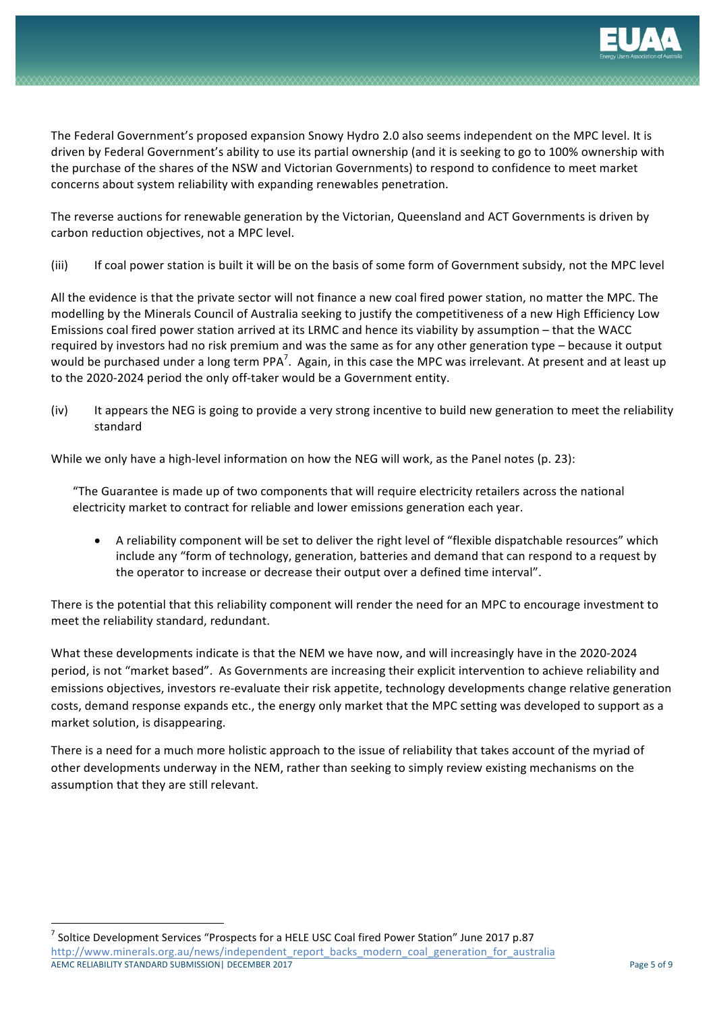

The Federal Government's proposed expansion Snowy Hydro 2.0 also seems independent on the MPC level. It is driven by Federal Government's ability to use its partial ownership (and it is seeking to go to 100% ownership with the purchase of the shares of the NSW and Victorian Governments) to respond to confidence to meet market concerns about system reliability with expanding renewables penetration.

The reverse auctions for renewable generation by the Victorian, Queensland and ACT Governments is driven by carbon reduction objectives, not a MPC level.

(iii) If coal power station is built it will be on the basis of some form of Government subsidy, not the MPC level

All the evidence is that the private sector will not finance a new coal fired power station, no matter the MPC. The modelling by the Minerals Council of Australia seeking to justify the competitiveness of a new High Efficiency Low Emissions coal fired power station arrived at its LRMC and hence its viability by assumption – that the WACC required by investors had no risk premium and was the same as for any other generation type – because it output would be purchased under a long term PPA<sup>7</sup>. Again, in this case the MPC was irrelevant. At present and at least up to the 2020-2024 period the only off-taker would be a Government entity.

(iv) It appears the NEG is going to provide a very strong incentive to build new generation to meet the reliability standard

While we only have a high-level information on how the NEG will work, as the Panel notes (p. 23):

"The Guarantee is made up of two components that will require electricity retailers across the national electricity market to contract for reliable and lower emissions generation each year.

A reliability component will be set to deliver the right level of "flexible dispatchable resources" which include any "form of technology, generation, batteries and demand that can respond to a request by the operator to increase or decrease their output over a defined time interval".

There is the potential that this reliability component will render the need for an MPC to encourage investment to meet the reliability standard, redundant.

What these developments indicate is that the NEM we have now, and will increasingly have in the 2020-2024 period, is not "market based". As Governments are increasing their explicit intervention to achieve reliability and emissions objectives, investors re-evaluate their risk appetite, technology developments change relative generation costs, demand response expands etc., the energy only market that the MPC setting was developed to support as a market solution, is disappearing.

There is a need for a much more holistic approach to the issue of reliability that takes account of the myriad of other developments underway in the NEM, rather than seeking to simply review existing mechanisms on the assumption that they are still relevant.

<u> 1989 - Johann Barn, mars ann an t-Amhain an t-Amhain an t-Amhain an t-Amhain an t-Amhain an t-Amhain an t-Amh</u>

AEMC RELIABILITY STANDARD SUBMISSION| DECEMBER 2017 Page 5 of 9  $^7$  Soltice Development Services "Prospects for a HELE USC Coal fired Power Station" June 2017 p.87 http://www.minerals.org.au/news/independent\_report\_backs\_modern\_coal\_generation\_for\_australia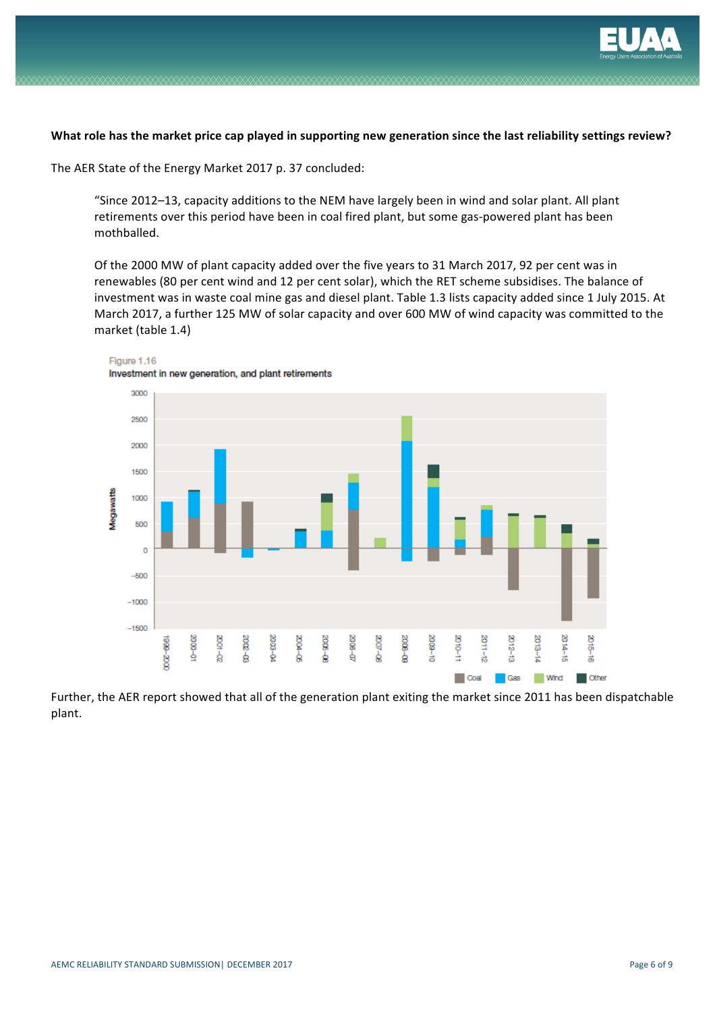

### What role has the market price cap played in supporting new generation since the last reliability settings review?

The AER State of the Energy Market 2017 p. 37 concluded:

"Since 2012–13, capacity additions to the NEM have largely been in wind and solar plant. All plant retirements over this period have been in coal fired plant, but some gas-powered plant has been mothballed.

Of the 2000 MW of plant capacity added over the five years to 31 March 2017, 92 per cent was in renewables (80 per cent wind and 12 per cent solar), which the RET scheme subsidises. The balance of investment was in waste coal mine gas and diesel plant. Table 1.3 lists capacity added since 1 July 2015. At March 2017, a further 125 MW of solar capacity and over 600 MW of wind capacity was committed to the market (table 1.4)



Figure 1.16

Further, the AER report showed that all of the generation plant exiting the market since 2011 has been dispatchable plant.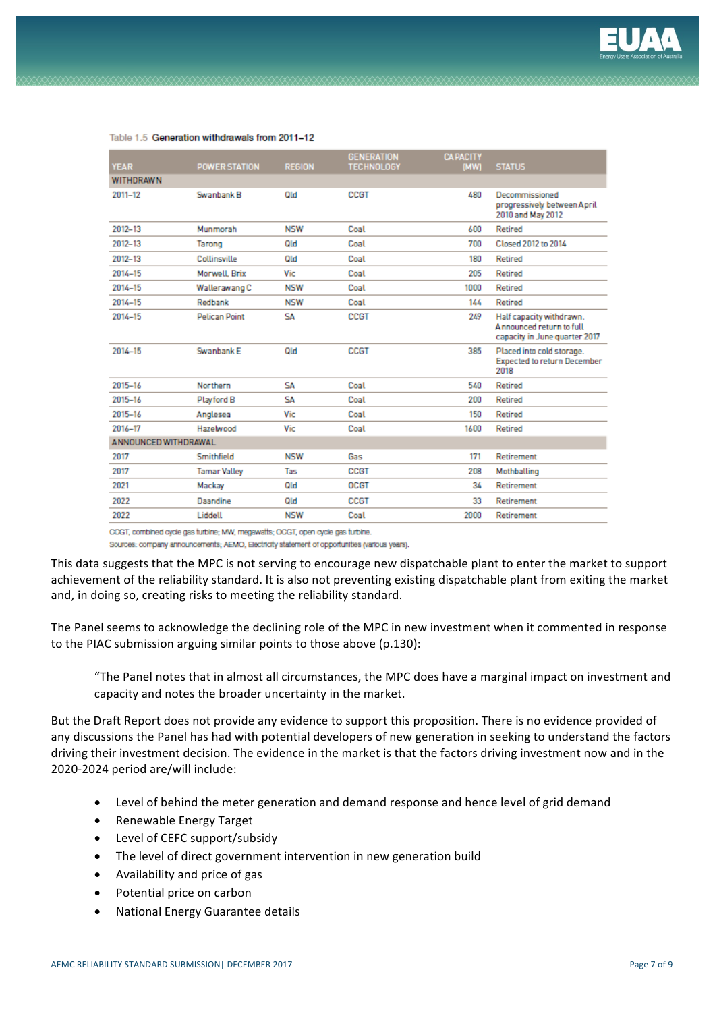

|                      |                      | <b>GENERALION</b> | <b>CAPACITY</b>   | <b>STATUS</b>                                                                         |
|----------------------|----------------------|-------------------|-------------------|---------------------------------------------------------------------------------------|
|                      |                      |                   |                   |                                                                                       |
| Swanbank B           | Qld                  | <b>CCGT</b>       | 480               | Decommissioned<br>progressively between April<br>2010 and May 2012                    |
| Munmorah             | <b>NSW</b>           | Coal              | 600               | Retired                                                                               |
| Tarong               | Qld                  | Coal              | 700               | Closed 2012 to 2014                                                                   |
| Collinsville         | Qld                  | Coal              | 180               | Retired                                                                               |
| Morwell, Brix        | Vic                  | Coal              | 205               | Retired                                                                               |
| Wallerawang C        | <b>NSW</b>           | Coal              | 1000              | Retired                                                                               |
| Redbank              | NSW                  | Coal              | 144               | Retired                                                                               |
| <b>Pelican Point</b> | SΔ                   | <b>CCGT</b>       | 249               | Half capacity withdrawn.<br>Announced return to full<br>capacity in June quarter 2017 |
| Swanbank E           | Old                  | CCGT              | 385               | Placed into cold storage.<br><b>Expected to return December</b><br>2018               |
| Northern             | SΔ                   | Coal              | 540               | Retired                                                                               |
| Playford B           | SΑ                   | Coal              | 200               | Retired                                                                               |
| Anglesea             | Vic                  | Coal              | 150               | Retired                                                                               |
| Hazelwood            | Vic                  | Coal              | 1600              | Retired                                                                               |
| ANNOUNCED WITHDRAWAL |                      |                   |                   |                                                                                       |
| Smithfield           | <b>NSW</b>           | Gas               | 171               | Retirement                                                                            |
| <b>Tamar Valley</b>  | Tas                  | <b>CCGT</b>       | 208               | Mothballing                                                                           |
| Mackay               | Qld                  | <b>OCGT</b>       | 34                | Retirement                                                                            |
| Daandine             | Qld                  | <b>CCGT</b>       | 33                | <b>Retirement</b>                                                                     |
| Liddell              | <b>NSW</b>           | Coal              | 2000              | <b>Retirement</b>                                                                     |
|                      | <b>POWER STATION</b> | <b>REGION</b>     | <b>TECHNOLOGY</b> | (MW)                                                                                  |

#### Table 1.5 Generation withdrawals from 2011-12

COGT, combined cycle gas turbine; MW, megawatts; OCGT, open cycle gas turbine.

Sources: company announcements; AEMO, Electricity statement of opportunities (various years).

This data suggests that the MPC is not serving to encourage new dispatchable plant to enter the market to support achievement of the reliability standard. It is also not preventing existing dispatchable plant from exiting the market and, in doing so, creating risks to meeting the reliability standard.

The Panel seems to acknowledge the declining role of the MPC in new investment when it commented in response to the PIAC submission arguing similar points to those above (p.130):

"The Panel notes that in almost all circumstances, the MPC does have a marginal impact on investment and capacity and notes the broader uncertainty in the market.

But the Draft Report does not provide any evidence to support this proposition. There is no evidence provided of any discussions the Panel has had with potential developers of new generation in seeking to understand the factors driving their investment decision. The evidence in the market is that the factors driving investment now and in the 2020-2024 period are/will include:

- Level of behind the meter generation and demand response and hence level of grid demand
- Renewable Energy Target
- Level of CEFC support/subsidy
- The level of direct government intervention in new generation build
- Availability and price of gas
- Potential price on carbon
- National Energy Guarantee details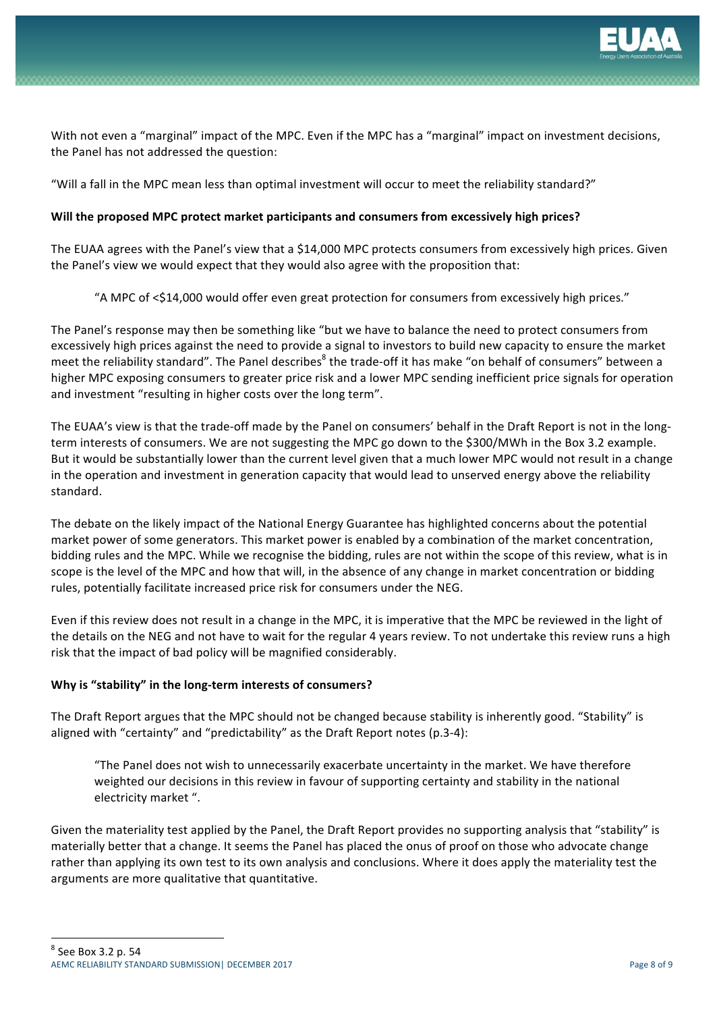

With not even a "marginal" impact of the MPC. Even if the MPC has a "marginal" impact on investment decisions, the Panel has not addressed the question:

"Will a fall in the MPC mean less than optimal investment will occur to meet the reliability standard?"

## **Will the proposed MPC protect market participants and consumers from excessively high prices?**

The EUAA agrees with the Panel's view that a \$14,000 MPC protects consumers from excessively high prices. Given the Panel's view we would expect that they would also agree with the proposition that:

"A MPC of <\$14,000 would offer even great protection for consumers from excessively high prices."

The Panel's response may then be something like "but we have to balance the need to protect consumers from excessively high prices against the need to provide a signal to investors to build new capacity to ensure the market meet the reliability standard". The Panel describes<sup>8</sup> the trade-off it has make "on behalf of consumers" between a higher MPC exposing consumers to greater price risk and a lower MPC sending inefficient price signals for operation and investment "resulting in higher costs over the long term".

The EUAA's view is that the trade-off made by the Panel on consumers' behalf in the Draft Report is not in the longterm interests of consumers. We are not suggesting the MPC go down to the \$300/MWh in the Box 3.2 example. But it would be substantially lower than the current level given that a much lower MPC would not result in a change in the operation and investment in generation capacity that would lead to unserved energy above the reliability standard. 

The debate on the likely impact of the National Energy Guarantee has highlighted concerns about the potential market power of some generators. This market power is enabled by a combination of the market concentration, bidding rules and the MPC. While we recognise the bidding, rules are not within the scope of this review, what is in scope is the level of the MPC and how that will, in the absence of any change in market concentration or bidding rules, potentially facilitate increased price risk for consumers under the NEG.

Even if this review does not result in a change in the MPC, it is imperative that the MPC be reviewed in the light of the details on the NEG and not have to wait for the regular 4 years review. To not undertake this review runs a high risk that the impact of bad policy will be magnified considerably.

## **Why is "stability" in the long-term interests of consumers?**

The Draft Report argues that the MPC should not be changed because stability is inherently good. "Stability" is aligned with "certainty" and "predictability" as the Draft Report notes (p.3-4):

"The Panel does not wish to unnecessarily exacerbate uncertainty in the market. We have therefore weighted our decisions in this review in favour of supporting certainty and stability in the national electricity market ".

Given the materiality test applied by the Panel, the Draft Report provides no supporting analysis that "stability" is materially better that a change. It seems the Panel has placed the onus of proof on those who advocate change rather than applying its own test to its own analysis and conclusions. Where it does apply the materiality test the arguments are more qualitative that quantitative.

 $8$  See Box 3.2 p. 54

<u> 1989 - Johann Barn, mars ann an t-Amhain an t-Amhain an t-Amhain an t-Amhain an t-Amhain an t-Amhain an t-Amh</u>

AEMC RELIABILITY STANDARD SUBMISSION| DECEMBER 2017 **Page 8 of 9** Page 8 of 9